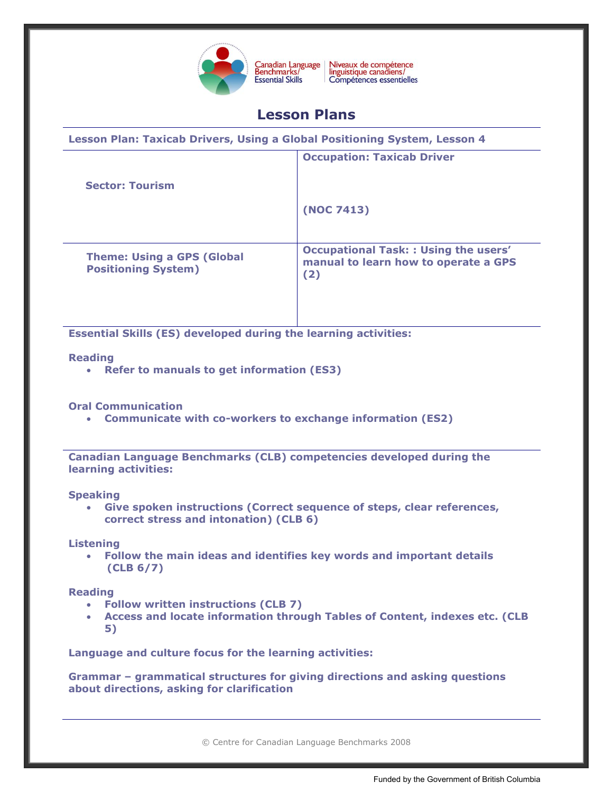

Niveaux de compétence<br>linguistique canadiens/ Compétences essentielles

# **Lesson Plans**

| Lesson Plan: Taxicab Drivers, Using a Global Positioning System, Lesson 4 |                                                                                            |
|---------------------------------------------------------------------------|--------------------------------------------------------------------------------------------|
| <b>Sector: Tourism</b>                                                    | <b>Occupation: Taxicab Driver</b>                                                          |
|                                                                           | (NOC 7413)                                                                                 |
| <b>Theme: Using a GPS (Global</b><br><b>Positioning System)</b>           | <b>Occupational Task:: Using the users'</b><br>manual to learn how to operate a GPS<br>(2) |

**Essential Skills (ES) developed during the learning activities:** 

## **Reading**

**Refer to manuals to get information (ES3)**

# **Oral Communication**

**Communicate with co-workers to exchange information (ES2)**

**Canadian Language Benchmarks (CLB) competencies developed during the learning activities:**

#### **Speaking**

 **Give spoken instructions (Correct sequence of steps, clear references, correct stress and intonation) (CLB 6)** 

#### **Listening**

 **Follow the main ideas and identifies key words and important details (CLB 6/7)**

#### **Reading**

- **Follow written instructions (CLB 7)**
- **Access and locate information through Tables of Content, indexes etc. (CLB 5)**

**Language and culture focus for the learning activities:** 

**Grammar – grammatical structures for giving directions and asking questions about directions, asking for clarification**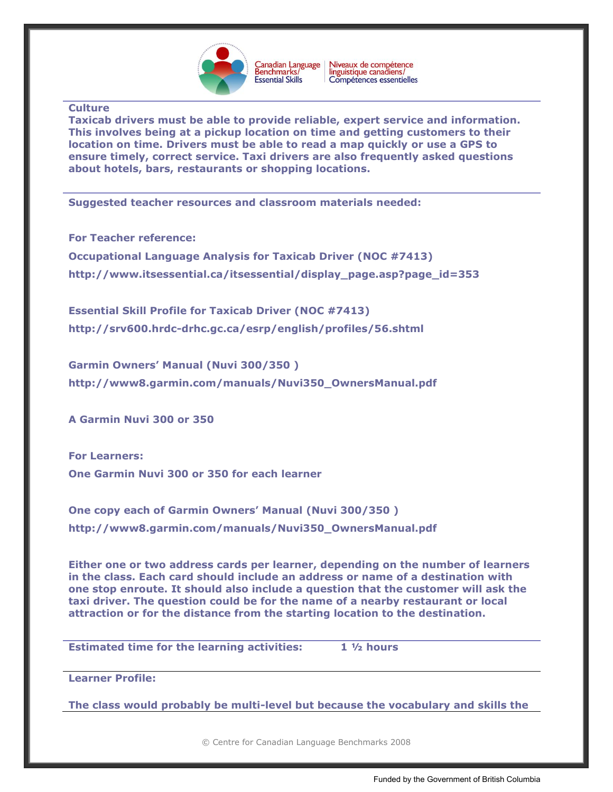

Canadian Language<br>Benchmarks/ Niveaux de compétence<br>linguistique canadiens/ Compétences essentielles

### **Culture**

**Taxicab drivers must be able to provide reliable, expert service and information. This involves being at a pickup location on time and getting customers to their location on time. Drivers must be able to read a map quickly or use a GPS to ensure timely, correct service. Taxi drivers are also frequently asked questions about hotels, bars, restaurants or shopping locations.**

**Suggested teacher resources and classroom materials needed:** 

**For Teacher reference:**

**Occupational Language Analysis for Taxicab Driver (NOC #7413) [http://www.itsessential.ca/itsessential/display\\_page.asp?page\\_id=353](http://www.itsessential.ca/itsessential/display_page.asp?page_id=353)**

**Essential Skill Profile for Taxicab Driver (NOC #7413) <http://srv600.hrdc-drhc.gc.ca/esrp/english/profiles/56.shtml>**

**Garmin Owners' Manual (Nuvi 300/350 ) [http://www8.garmin.com/manuals/Nuvi350\\_OwnersManual.pdf](http://www8.garmin.com/manuals/Nuvi350_OwnersManual.pdf)**

**A Garmin Nuvi 300 or 350**

**For Learners: One Garmin Nuvi 300 or 350 for each learner**

**One copy each of Garmin Owners' Manual (Nuvi 300/350 ) [http://www8.garmin.com/manuals/Nuvi350\\_OwnersManual.pdf](http://www8.garmin.com/manuals/Nuvi350_OwnersManual.pdf)**

**Either one or two address cards per learner, depending on the number of learners in the class. Each card should include an address or name of a destination with one stop enroute. It should also include a question that the customer will ask the taxi driver. The question could be for the name of a nearby restaurant or local attraction or for the distance from the starting location to the destination.** 

**Estimated time for the learning activities: 1 ½ hours** 

**Learner Profile:**

**The class would probably be multi-level but because the vocabulary and skills the**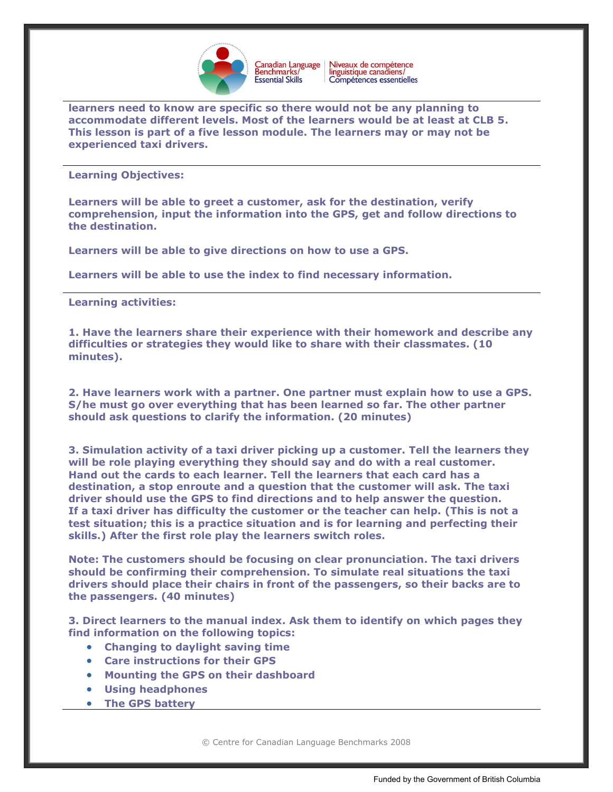

Niveaux de compétence<br>linguistique canadiens/ Canadian Language<br>Benchmarks/ Compétences essentielles

**learners need to know are specific so there would not be any planning to accommodate different levels. Most of the learners would be at least at CLB 5. This lesson is part of a five lesson module. The learners may or may not be experienced taxi drivers.**

**Learning Objectives:**

**Learners will be able to greet a customer, ask for the destination, verify comprehension, input the information into the GPS, get and follow directions to the destination.** 

**Learners will be able to give directions on how to use a GPS.**

**Learners will be able to use the index to find necessary information.** 

**Learning activities:**

**1. Have the learners share their experience with their homework and describe any difficulties or strategies they would like to share with their classmates. (10 minutes).**

**2. Have learners work with a partner. One partner must explain how to use a GPS. S/he must go over everything that has been learned so far. The other partner should ask questions to clarify the information. (20 minutes)**

**3. Simulation activity of a taxi driver picking up a customer. Tell the learners they will be role playing everything they should say and do with a real customer. Hand out the cards to each learner. Tell the learners that each card has a destination, a stop enroute and a question that the customer will ask. The taxi driver should use the GPS to find directions and to help answer the question. If a taxi driver has difficulty the customer or the teacher can help. (This is not a test situation; this is a practice situation and is for learning and perfecting their skills.) After the first role play the learners switch roles.** 

**Note: The customers should be focusing on clear pronunciation. The taxi drivers should be confirming their comprehension. To simulate real situations the taxi drivers should place their chairs in front of the passengers, so their backs are to the passengers. (40 minutes)**

**3. Direct learners to the manual index. Ask them to identify on which pages they find information on the following topics:**

- **Changing to daylight saving time**
- **Care instructions for their GPS**
- **Mounting the GPS on their dashboard**
- **Using headphones**
- **The GPS battery**